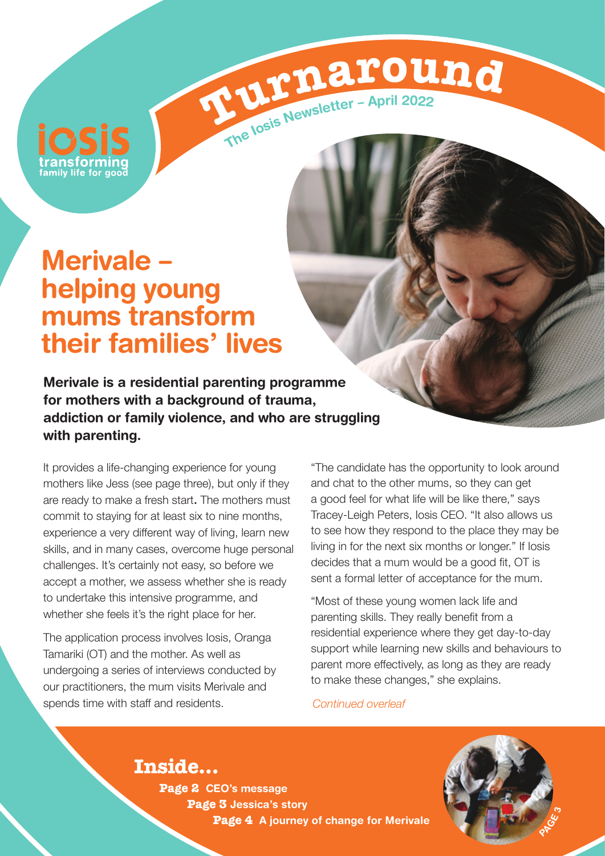### **Merivale – helping young mums transform their families' lives**

**Merivale is a residential parenting programme for mothers with a background of trauma, addiction or family violence, and who are struggling with parenting.** 

It provides a life-changing experience for young mothers like Jess (see page three), but only if they are ready to make a fresh start**.** The mothers must commit to staying for at least six to nine months, experience a very different way of living, learn new skills, and in many cases, overcome huge personal challenges. It's certainly not easy, so before we accept a mother, we assess whether she is ready to undertake this intensive programme, and whether she feels it's the right place for her.

The application process involves Iosis, Oranga Tamariki (OT) and the mother. As well as undergoing a series of interviews conducted by our practitioners, the mum visits Merivale and spends time with staff and residents.

"The candidate has the opportunity to look around and chat to the other mums, so they can get a good feel for what life will be like there," says Tracey-Leigh Peters, Iosis CEO. "It also allows us to see how they respond to the place they may be living in for the next six months or longer." If Iosis decides that a mum would be a good fit, OT is sent a formal letter of acceptance for the mum.

"Most of these young women lack life and parenting skills. They really benefit from a residential experience where they get day-to-day support while learning new skills and behaviours to parent more effectively, as long as they are ready to make these changes," she explains.

*Continued overleaf*

**rurna**<br>**ru***n* 

The losis Newsletter - April 2022

**Inside… Page 2 CEO's message Page 3 Jessica's story Page 4 A journey of change for Merivale** 

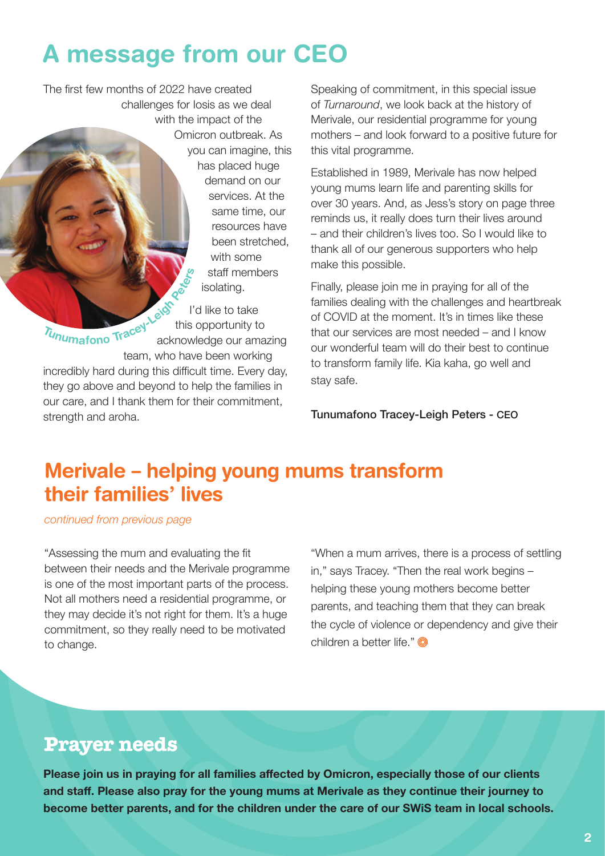# **A message from our CEO**

The first few months of 2022 have created challenges for Iosis as we deal with the impact of the Omicron outbreak. As you can imagine, this has placed huge demand on our services. At the same time, our resources have been stretched, with some staff members isolating. I'd like to take

Tunumafono Tracey acknowledge our amazing team, who have been working incredibly hard during this difficult time. Every day, they go above and beyond to help the families in our care, and I thank them for their commitment, strength and aroha.

Speaking of commitment, in this special issue of *Turnaround*, we look back at the history of Merivale, our residential programme for young mothers – and look forward to a positive future for this vital programme.

Established in 1989, Merivale has now helped young mums learn life and parenting skills for over 30 years. And, as Jess's story on page three reminds us, it really does turn their lives around – and their children's lives too. So I would like to thank all of our generous supporters who help make this possible.

Finally, please join me in praying for all of the families dealing with the challenges and heartbreak of COVID at the moment. It's in times like these that our services are most needed – and I know our wonderful team will do their best to continue to transform family life. Kia kaha, go well and stay safe.

Tunumafono Tracey-Leigh Peters - CEO

#### **Merivale – helping young mums transform their families' lives**

this opportunity to

*continued from previous page*

"Assessing the mum and evaluating the fit between their needs and the Merivale programme is one of the most important parts of the process. Not all mothers need a residential programme, or they may decide it's not right for them. It's a huge commitment, so they really need to be motivated to change.

"When a mum arrives, there is a process of settling in," says Tracey. "Then the real work begins – helping these young mothers become better parents, and teaching them that they can break the cycle of violence or dependency and give their children a better life."

#### **Prayer needs**

**Please join us in praying for all families affected by Omicron, especially those of our clients and staff. Please also pray for the young mums at Merivale as they continue their journey to become better parents, and for the children under the care of our SWiS team in local schools.**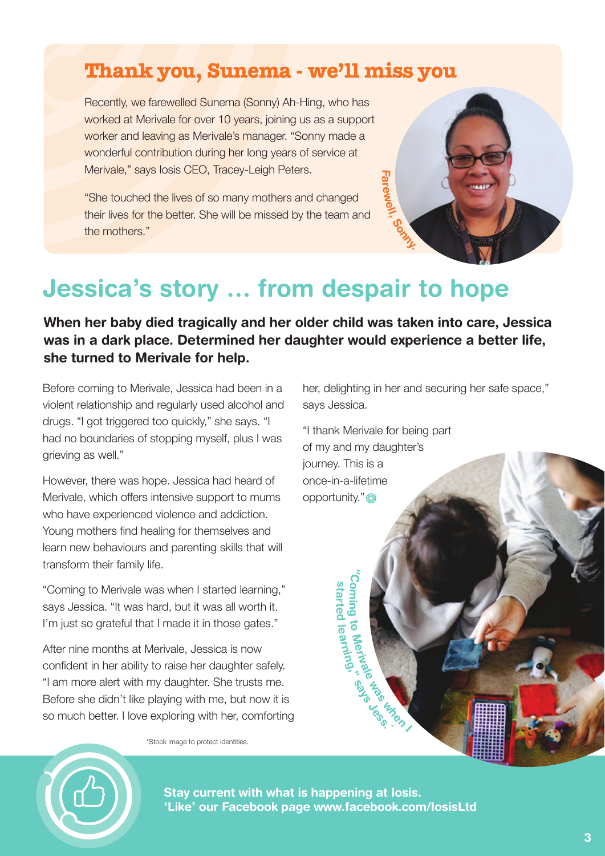#### **Thank you, Sunema - we'll miss you**

Recently, we farewelled Sunema (Sonny) Ah-Hing, who has worked at Merivale for over 10 years, joining us as a support worker and leaving as Merivale's manager. "Sonny made a wonderful contribution during her long years of service at Merivale," says Iosis CEO, Tracey-Leigh Peters.

"She touched the lives of so many mothers and changed their lives for the better. She will be missed by the team and the mothers."

## **Jessica's story … from despair to hope**

**When her baby died tragically and her older child was taken into care, Jessica was in a dark place. Determined her daughter would experience a better life, she turned to Merivale for help.** 

**Stay current with what is happening at Iosis.**

**'Like' our Facebook page www.facebook.com/IosisLtd**

Before coming to Merivale, Jessica had been in a violent relationship and regularly used alcohol and drugs. "I got triggered too quickly," she says. "I had no boundaries of stopping myself, plus I was grieving as well."

However, there was hope. Jessica had heard of Merivale, which offers intensive support to mums who have experienced violence and addiction. Young mothers find healing for themselves and learn new behaviours and parenting skills that will transform their family life.

"Coming to Merivale was when I started learning," says Jessica. "It was hard, but it was all worth it. I'm just so grateful that I made it in those gates."

After nine months at Merivale, Jessica is now confident in her ability to raise her daughter safely. "I am more alert with my daughter. She trusts me. Before she didn't like playing with me, but now it is so much better. I love exploring with her, comforting

\*Stock image to protect identities.

her, delighting in her and securing her safe space," says Jessica.

"I thank Merivale for being part of my and my daughter's journey. This is a once-in-a-lifetime opportunity."

> **"Co m ni g to**

**starte d learning,"**

**Merivale**

**Kabupaten** 

**says Jess. \***

**Fa**

**rewell**

**, Sonny.**



**3**